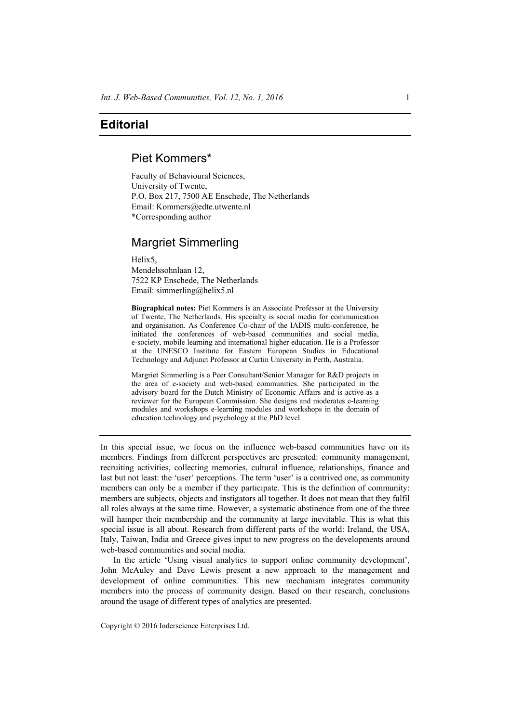## **Editorial**

## Piet Kommers\*

Faculty of Behavioural Sciences, University of Twente, P.O. Box 217, 7500 AE Enschede, The Netherlands Email: Kommers@edte.utwente.nl \*Corresponding author

## Margriet Simmerling

Helix5, Mendelssohnlaan 12, 7522 KP Enschede, The Netherlands Email: simmerling@helix5.nl

**Biographical notes:** Piet Kommers is an Associate Professor at the University of Twente, The Netherlands. His specialty is social media for communication and organisation. As Conference Co-chair of the IADIS multi-conference, he initiated the conferences of web-based communities and social media, e-society, mobile learning and international higher education. He is a Professor at the UNESCO Institute for Eastern European Studies in Educational Technology and Adjunct Professor at Curtin University in Perth, Australia.

Margriet Simmerling is a Peer Consultant/Senior Manager for R&D projects in the area of e-society and web-based communities. She participated in the advisory board for the Dutch Ministry of Economic Affairs and is active as a reviewer for the European Commission. She designs and moderates e-learning modules and workshops e-learning modules and workshops in the domain of education technology and psychology at the PhD level.

In this special issue, we focus on the influence web-based communities have on its members. Findings from different perspectives are presented: community management, recruiting activities, collecting memories, cultural influence, relationships, finance and last but not least: the 'user' perceptions. The term 'user' is a contrived one, as community members can only be a member if they participate. This is the definition of community: members are subjects, objects and instigators all together. It does not mean that they fulfil all roles always at the same time. However, a systematic abstinence from one of the three will hamper their membership and the community at large inevitable. This is what this special issue is all about. Research from different parts of the world: Ireland, the USA, Italy, Taiwan, India and Greece gives input to new progress on the developments around web-based communities and social media.

In the article 'Using visual analytics to support online community development', John McAuley and Dave Lewis present a new approach to the management and development of online communities. This new mechanism integrates community members into the process of community design. Based on their research, conclusions around the usage of different types of analytics are presented.

Copyright © 2016 Inderscience Enterprises Ltd.